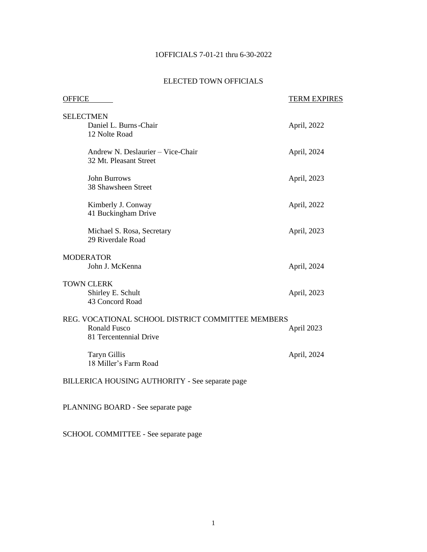# 1OFFICIALS 7-01-21 thru 6-30-2022

# ELECTED TOWN OFFICIALS

| <b>OFFICE</b>                                                                                      | <b>TERM EXPIRES</b> |
|----------------------------------------------------------------------------------------------------|---------------------|
| <b>SELECTMEN</b><br>Daniel L. Burns-Chair<br>12 Nolte Road                                         | April, 2022         |
| Andrew N. Deslaurier - Vice-Chair<br>32 Mt. Pleasant Street                                        | April, 2024         |
| <b>John Burrows</b><br>38 Shawsheen Street                                                         | April, 2023         |
| Kimberly J. Conway<br>41 Buckingham Drive                                                          | April, 2022         |
| Michael S. Rosa, Secretary<br>29 Riverdale Road                                                    | April, 2023         |
| <b>MODERATOR</b><br>John J. McKenna                                                                | April, 2024         |
| <b>TOWN CLERK</b><br>Shirley E. Schult<br>43 Concord Road                                          | April, 2023         |
| REG. VOCATIONAL SCHOOL DISTRICT COMMITTEE MEMBERS<br><b>Ronald Fusco</b><br>81 Tercentennial Drive | April 2023          |
| <b>Taryn Gillis</b><br>18 Miller's Farm Road                                                       | April, 2024         |
| BILLERICA HOUSING AUTHORITY - See separate page                                                    |                     |

PLANNING BOARD - See separate page

SCHOOL COMMITTEE - See separate page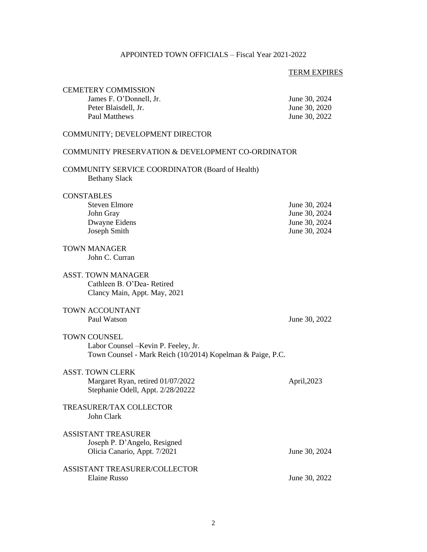# APPOINTED TOWN OFFICIALS – Fiscal Year 2021-2022

# TERM EXPIRES

| <b>CEMETERY COMMISSION</b><br>James F. O'Donnell, Jr.<br>Peter Blaisdell, Jr.<br><b>Paul Matthews</b>                     | June 30, 2024<br>June 30, 2020<br>June 30, 2022                  |
|---------------------------------------------------------------------------------------------------------------------------|------------------------------------------------------------------|
| COMMUNITY; DEVELOPMENT DIRECTOR                                                                                           |                                                                  |
| COMMUNITY PRESERVATION & DEVELOPMENT CO-ORDINATOR                                                                         |                                                                  |
| <b>COMMUNITY SERVICE COORDINATOR (Board of Health)</b><br><b>Bethany Slack</b>                                            |                                                                  |
| <b>CONSTABLES</b><br><b>Steven Elmore</b><br>John Gray<br>Dwayne Eidens<br>Joseph Smith                                   | June 30, 2024<br>June 30, 2024<br>June 30, 2024<br>June 30, 2024 |
| <b>TOWN MANAGER</b><br>John C. Curran                                                                                     |                                                                  |
| <b>ASST. TOWN MANAGER</b><br>Cathleen B. O'Dea-Retired<br>Clancy Main, Appt. May, 2021                                    |                                                                  |
| <b>TOWN ACCOUNTANT</b><br>Paul Watson                                                                                     | June 30, 2022                                                    |
| <b>TOWN COUNSEL</b><br>Labor Counsel – Kevin P. Feeley, Jr.<br>Town Counsel - Mark Reich (10/2014) Kopelman & Paige, P.C. |                                                                  |
| <b>ASST. TOWN CLERK</b><br>Margaret Ryan, retired 01/07/2022<br>Stephanie Odell, Appt. 2/28/20222                         | April, 2023                                                      |
| TREASURER/TAX COLLECTOR<br>John Clark                                                                                     |                                                                  |
| <b>ASSISTANT TREASURER</b><br>Joseph P. D'Angelo, Resigned<br>Olicia Canario, Appt. 7/2021                                | June 30, 2024                                                    |
| ASSISTANT TREASURER/COLLECTOR<br><b>Elaine Russo</b>                                                                      | June 30, 2022                                                    |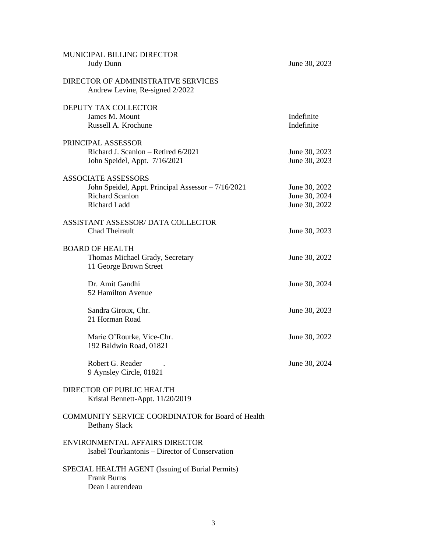| MUNICIPAL BILLING DIRECTOR<br>Judy Dunn                                                                                    | June 30, 2023                                   |
|----------------------------------------------------------------------------------------------------------------------------|-------------------------------------------------|
| DIRECTOR OF ADMINISTRATIVE SERVICES<br>Andrew Levine, Re-signed 2/2022                                                     |                                                 |
| DEPUTY TAX COLLECTOR<br>James M. Mount<br>Russell A. Krochune                                                              | Indefinite<br>Indefinite                        |
| PRINCIPAL ASSESSOR<br>Richard J. Scanlon - Retired 6/2021<br>John Speidel, Appt. 7/16/2021                                 | June 30, 2023<br>June 30, 2023                  |
| <b>ASSOCIATE ASSESSORS</b><br>John Speidel, Appt. Principal Assessor - 7/16/2021<br><b>Richard Scanlon</b><br>Richard Ladd | June 30, 2022<br>June 30, 2024<br>June 30, 2022 |
| ASSISTANT ASSESSOR/DATA COLLECTOR<br>Chad Theirault                                                                        | June 30, 2023                                   |
| <b>BOARD OF HEALTH</b><br>Thomas Michael Grady, Secretary<br>11 George Brown Street                                        | June 30, 2022                                   |
| Dr. Amit Gandhi<br>52 Hamilton Avenue                                                                                      | June 30, 2024                                   |
| Sandra Giroux, Chr.<br>21 Horman Road                                                                                      | June 30, 2023                                   |
| Marie O'Rourke, Vice-Chr.<br>192 Baldwin Road, 01821                                                                       | June 30, 2022                                   |
| Robert G. Reader<br>9 Aynsley Circle, 01821                                                                                | June 30, 2024                                   |
| DIRECTOR OF PUBLIC HEALTH<br>Kristal Bennett-Appt. 11/20/2019                                                              |                                                 |
| COMMUNITY SERVICE COORDINATOR for Board of Health<br><b>Bethany Slack</b>                                                  |                                                 |
| ENVIRONMENTAL AFFAIRS DIRECTOR<br>Isabel Tourkantonis - Director of Conservation                                           |                                                 |
| SPECIAL HEALTH AGENT (Issuing of Burial Permits)<br><b>Frank Burns</b><br>Dean Laurendeau                                  |                                                 |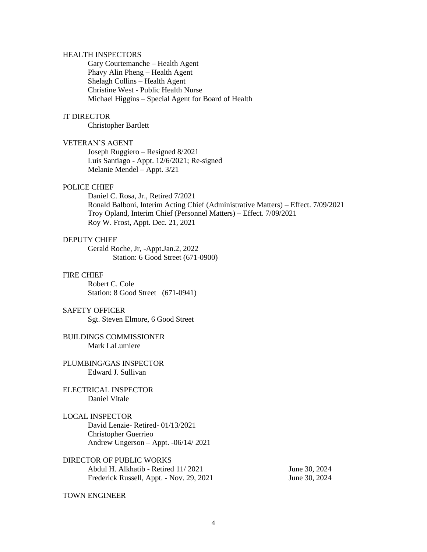#### HEALTH INSPECTORS

Gary Courtemanche – Health Agent Phavy Alin Pheng – Health Agent Shelagh Collins – Health Agent Christine West - Public Health Nurse Michael Higgins – Special Agent for Board of Health

#### IT DIRECTOR

Christopher Bartlett

#### VETERAN'S AGENT

Joseph Ruggiero – Resigned 8/2021 Luis Santiago - Appt. 12/6/2021; Re-signed Melanie Mendel – Appt. 3/21

#### POLICE CHIEF

Daniel C. Rosa, Jr., Retired 7/2021 Ronald Balboni, Interim Acting Chief (Administrative Matters) – Effect. 7/09/2021 Troy Opland, Interim Chief (Personnel Matters) – Effect. 7/09/2021 Roy W. Frost, Appt. Dec. 21, 2021

#### DEPUTY CHIEF

Gerald Roche, Jr, -Appt.Jan.2, 2022 Station: 6 Good Street (671-0900)

#### FIRE CHIEF

Robert C. Cole Station: 8 Good Street (671-0941)

#### SAFETY OFFICER

Sgt. Steven Elmore, 6 Good Street

#### BUILDINGS COMMISSIONER Mark LaLumiere

#### PLUMBING/GAS INSPECTOR Edward J. Sullivan

# ELECTRICAL INSPECTOR Daniel Vitale

#### LOCAL INSPECTOR

David Lenzie- Retired- 01/13/2021 Christopher Guerrieo Andrew Ungerson – Appt. -06/14/ 2021

## DIRECTOR OF PUBLIC WORKS Abdul H. Alkhatib - Retired 11/2021 June 30, 2024 Frederick Russell, Appt. - Nov. 29, 2021 June 30, 2024

#### TOWN ENGINEER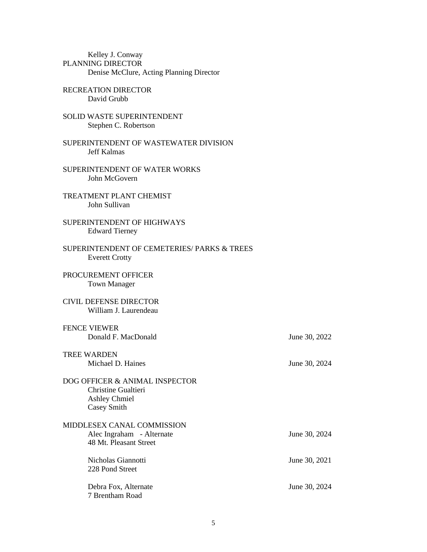| Kelley J. Conway                         |  |
|------------------------------------------|--|
| PLANNING DIRECTOR                        |  |
| Denise McClure, Acting Planning Director |  |

- RECREATION DIRECTOR David Grubb
- SOLID WASTE SUPERINTENDENT Stephen C. Robertson
- SUPERINTENDENT OF WASTEWATER DIVISION Jeff Kalmas
- SUPERINTENDENT OF WATER WORKS John McGovern
- TREATMENT PLANT CHEMIST John Sullivan
- SUPERINTENDENT OF HIGHWAYS Edward Tierney
- SUPERINTENDENT OF CEMETERIES/ PARKS & TREES Everett Crotty
- PROCUREMENT OFFICER Town Manager
- CIVIL DEFENSE DIRECTOR William J. Laurendeau

## FENCE VIEWER Donald F. MacDonald June 30, 2022

| TREE WARDEN       |  |
|-------------------|--|
| Michael D. Haines |  |

June 30, 2024

DOG OFFICER & ANIMAL INSPECTOR Christine Gualtieri Ashley Chmiel Casey Smith

| MIDDLESEX CANAL COMMISSION<br>Alec Ingraham - Alternate<br>48 Mt. Pleasant Street | June 30, 2024 |
|-----------------------------------------------------------------------------------|---------------|
| Nicholas Giannotti<br>228 Pond Street                                             | June 30, 2021 |
| Debra Fox, Alternate<br>7 Brentham Road                                           | June 30, 2024 |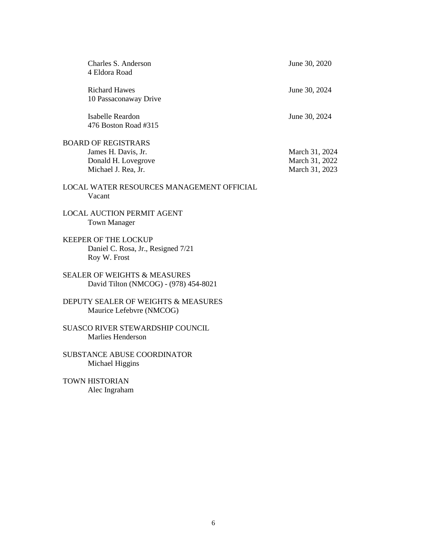| Charles S. Anderson<br>4 Eldora Road                                                            | June 30, 2020                                      |
|-------------------------------------------------------------------------------------------------|----------------------------------------------------|
| <b>Richard Hawes</b><br>10 Passaconaway Drive                                                   | June 30, 2024                                      |
| <b>Isabelle Reardon</b><br>476 Boston Road #315                                                 | June 30, 2024                                      |
| <b>BOARD OF REGISTRARS</b><br>James H. Davis, Jr.<br>Donald H. Lovegrove<br>Michael J. Rea, Jr. | March 31, 2024<br>March 31, 2022<br>March 31, 2023 |
| LOCAL WATER RESOURCES MANAGEMENT OFFICIAL<br>Vacant                                             |                                                    |
| <b>LOCAL AUCTION PERMIT AGENT</b><br><b>Town Manager</b>                                        |                                                    |
| <b>KEEPER OF THE LOCKUP</b><br>Daniel C. Rosa, Jr., Resigned 7/21<br>Roy W. Frost               |                                                    |
| <b>SEALER OF WEIGHTS &amp; MEASURES</b><br>David Tilton (NMCOG) - (978) 454-8021                |                                                    |
| DEPUTY SEALER OF WEIGHTS & MEASURES<br>Maurice Lefebvre (NMCOG)                                 |                                                    |
| SUASCO RIVER STEWARDSHIP COUNCIL<br><b>Marlies Henderson</b>                                    |                                                    |
| <b>SUBSTANCE ABUSE COORDINATOR</b><br>Michael Higgins                                           |                                                    |
| <b>TOWN HISTORIAN</b><br>Alec Ingraham                                                          |                                                    |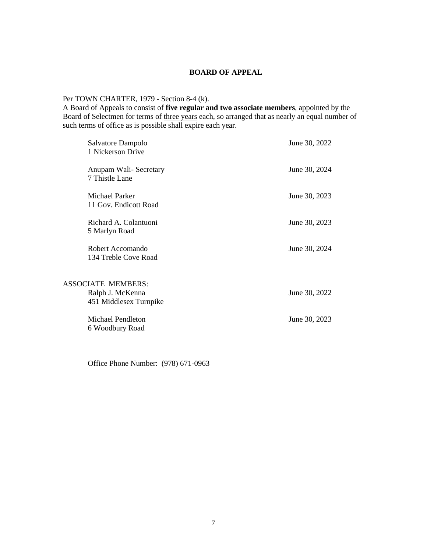#### **BOARD OF APPEAL**

# Per TOWN CHARTER, 1979 - Section 8-4 (k).

A Board of Appeals to consist of **five regular and two associate members**, appointed by the Board of Selectmen for terms of three years each, so arranged that as nearly an equal number of such terms of office as is possible shall expire each year.

| Salvatore Dampolo<br>1 Nickerson Drive                                  | June 30, 2022 |
|-------------------------------------------------------------------------|---------------|
| Anupam Wali-Secretary<br>7 Thistle Lane                                 | June 30, 2024 |
| Michael Parker<br>11 Gov. Endicott Road                                 | June 30, 2023 |
| Richard A. Colantuoni<br>5 Marlyn Road                                  | June 30, 2023 |
| Robert Accomando<br>134 Treble Cove Road                                | June 30, 2024 |
|                                                                         |               |
| <b>ASSOCIATE MEMBERS:</b><br>Ralph J. McKenna<br>451 Middlesex Turnpike | June 30, 2022 |
| <b>Michael Pendleton</b><br>6 Woodbury Road                             | June 30, 2023 |

Office Phone Number: (978) 671-0963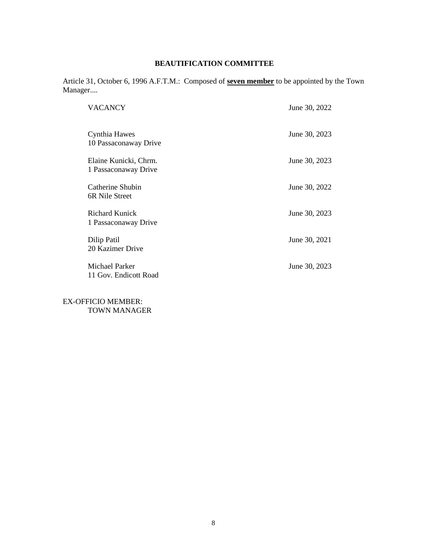# **BEAUTIFICATION COMMITTEE**

Article 31, October 6, 1996 A.F.T.M.: Composed of **seven member** to be appointed by the Town Manager....

| VACANCY                                       | June 30, 2022 |
|-----------------------------------------------|---------------|
| Cynthia Hawes<br>10 Passaconaway Drive        | June 30, 2023 |
| Elaine Kunicki, Chrm.<br>1 Passaconaway Drive | June 30, 2023 |
| Catherine Shubin<br>6R Nile Street            | June 30, 2022 |
| <b>Richard Kunick</b><br>1 Passaconaway Drive | June 30, 2023 |
| Dilip Patil<br>20 Kazimer Drive               | June 30, 2021 |
| Michael Parker<br>11 Gov. Endicott Road       | June 30, 2023 |

EX-OFFICIO MEMBER: TOWN MANAGER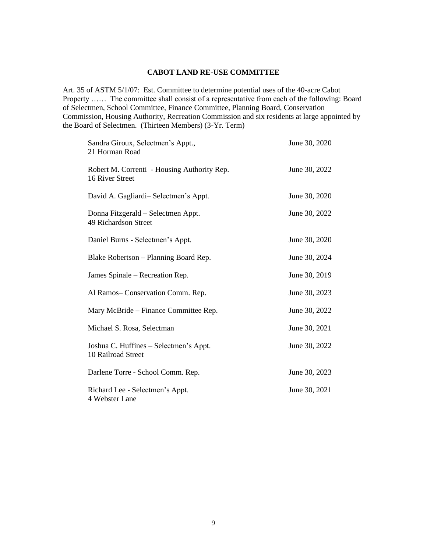#### **CABOT LAND RE-USE COMMITTEE**

Art. 35 of ASTM 5/1/07: Est. Committee to determine potential uses of the 40-acre Cabot Property …… The committee shall consist of a representative from each of the following: Board of Selectmen, School Committee, Finance Committee, Planning Board, Conservation Commission, Housing Authority, Recreation Commission and six residents at large appointed by the Board of Selectmen. (Thirteen Members) (3-Yr. Term)

| Sandra Giroux, Selectmen's Appt.,<br>21 Horman Road            | June 30, 2020 |
|----------------------------------------------------------------|---------------|
| Robert M. Correnti - Housing Authority Rep.<br>16 River Street | June 30, 2022 |
| David A. Gagliardi-Selectmen's Appt.                           | June 30, 2020 |
| Donna Fitzgerald – Selectmen Appt.<br>49 Richardson Street     | June 30, 2022 |
| Daniel Burns - Selectmen's Appt.                               | June 30, 2020 |
| Blake Robertson - Planning Board Rep.                          | June 30, 2024 |
| James Spinale – Recreation Rep.                                | June 30, 2019 |
| Al Ramos-Conservation Comm. Rep.                               | June 30, 2023 |
| Mary McBride – Finance Committee Rep.                          | June 30, 2022 |
| Michael S. Rosa, Selectman                                     | June 30, 2021 |
| Joshua C. Huffines – Selectmen's Appt.<br>10 Railroad Street   | June 30, 2022 |
| Darlene Torre - School Comm. Rep.                              | June 30, 2023 |
| Richard Lee - Selectmen's Appt.<br>4 Webster Lane              | June 30, 2021 |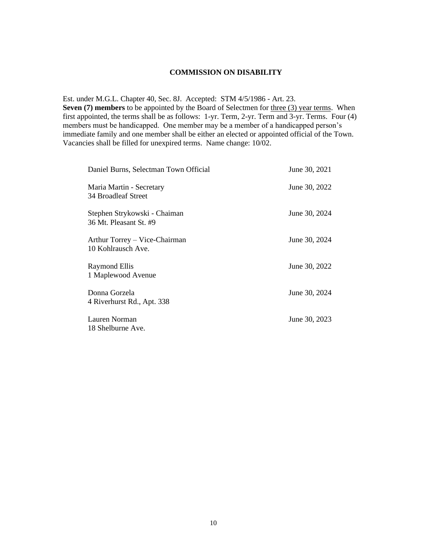#### **COMMISSION ON DISABILITY**

Est. under M.G.L. Chapter 40, Sec. 8J. Accepted: STM 4/5/1986 - Art. 23.

**Seven (7) members** to be appointed by the Board of Selectmen for three (3) year terms. When first appointed, the terms shall be as follows: 1-yr. Term, 2-yr. Term and 3-yr. Terms. Four (4) members must be handicapped. One member may be a member of a handicapped person's immediate family and one member shall be either an elected or appointed official of the Town. Vacancies shall be filled for unexpired terms. Name change: 10/02.

| Daniel Burns, Selectman Town Official                  | June 30, 2021 |
|--------------------------------------------------------|---------------|
| Maria Martin - Secretary<br>34 Broadleaf Street        | June 30, 2022 |
| Stephen Strykowski - Chaiman<br>36 Mt. Pleasant St. #9 | June 30, 2024 |
| Arthur Torrey – Vice-Chairman<br>10 Kohlrausch Ave.    | June 30, 2024 |
| <b>Raymond Ellis</b><br>1 Maplewood Avenue             | June 30, 2022 |
| Donna Gorzela<br>4 Riverhurst Rd., Apt. 338            | June 30, 2024 |
| Lauren Norman<br>18 Shelburne Ave.                     | June 30, 2023 |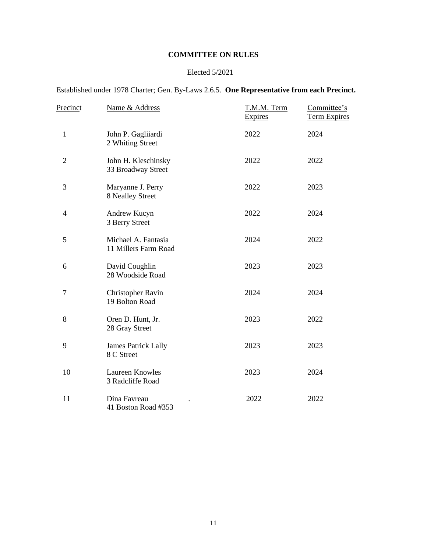# **COMMITTEE ON RULES**

# Elected 5/2021

Established under 1978 Charter; Gen. By-Laws 2.6.5. **One Representative from each Precinct.**

| Precinct       | Name & Address                              | T.M.M. Term<br><b>Expires</b> | Committee's<br><b>Term Expires</b> |
|----------------|---------------------------------------------|-------------------------------|------------------------------------|
| $\mathbf{1}$   | John P. Gagliiardi<br>2 Whiting Street      | 2022                          | 2024                               |
| $\overline{2}$ | John H. Kleschinsky<br>33 Broadway Street   | 2022                          | 2022                               |
| 3              | Maryanne J. Perry<br>8 Nealley Street       | 2022                          | 2023                               |
| 4              | Andrew Kucyn<br>3 Berry Street              | 2022                          | 2024                               |
| 5              | Michael A. Fantasia<br>11 Millers Farm Road | 2024                          | 2022                               |
| 6              | David Coughlin<br>28 Woodside Road          | 2023                          | 2023                               |
| $\tau$         | Christopher Ravin<br>19 Bolton Road         | 2024                          | 2024                               |
| 8              | Oren D. Hunt, Jr.<br>28 Gray Street         | 2023                          | 2022                               |
| 9              | <b>James Patrick Lally</b><br>8 C Street    | 2023                          | 2023                               |
| 10             | <b>Laureen Knowles</b><br>3 Radcliffe Road  | 2023                          | 2024                               |
| 11             | Dina Favreau<br>41 Boston Road #353         | 2022                          | 2022                               |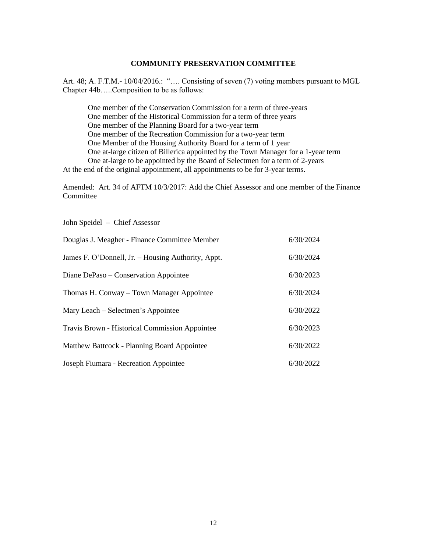## **COMMUNITY PRESERVATION COMMITTEE**

Art. 48; A. F.T.M.- 10/04/2016.: ".... Consisting of seven (7) voting members pursuant to MGL Chapter 44b…..Composition to be as follows:

One member of the Conservation Commission for a term of three-years One member of the Historical Commission for a term of three years One member of the Planning Board for a two-year term One member of the Recreation Commission for a two-year term One Member of the Housing Authority Board for a term of 1 year One at-large citizen of Billerica appointed by the Town Manager for a 1-year term One at-large to be appointed by the Board of Selectmen for a term of 2-years At the end of the original appointment, all appointments to be for 3-year terms.

Amended: Art. 34 of AFTM 10/3/2017: Add the Chief Assessor and one member of the Finance Committee

John Speidel – Chief Assessor

| Douglas J. Meagher - Finance Committee Member      | 6/30/2024 |
|----------------------------------------------------|-----------|
| James F. O'Donnell, Jr. - Housing Authority, Appt. | 6/30/2024 |
| Diane DePaso – Conservation Appointee              | 6/30/2023 |
| Thomas H. Conway – Town Manager Appointee          | 6/30/2024 |
| Mary Leach – Selectmen's Appointee                 | 6/30/2022 |
| Travis Brown - Historical Commission Appointee     | 6/30/2023 |
| Matthew Battcock - Planning Board Appointee        | 6/30/2022 |
| Joseph Fiumara - Recreation Appointee              | 6/30/2022 |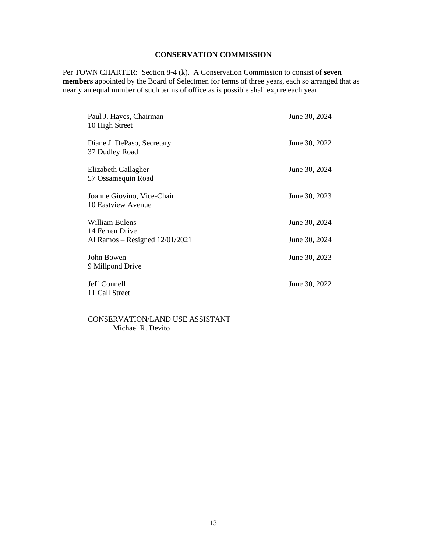# **CONSERVATION COMMISSION**

Per TOWN CHARTER: Section 8-4 (k). A Conservation Commission to consist of **seven members** appointed by the Board of Selectmen for terms of three years, each so arranged that as nearly an equal number of such terms of office as is possible shall expire each year.

| Paul J. Hayes, Chairman<br>10 High Street                             | June 30, 2024                  |
|-----------------------------------------------------------------------|--------------------------------|
| Diane J. DePaso, Secretary<br>37 Dudley Road                          | June 30, 2022                  |
| Elizabeth Gallagher<br>57 Ossamequin Road                             | June 30, 2024                  |
| Joanne Giovino, Vice-Chair<br>10 Eastview Avenue                      | June 30, 2023                  |
| William Bulens<br>14 Ferren Drive<br>Al Ramos – Resigned $12/01/2021$ | June 30, 2024<br>June 30, 2024 |
| John Bowen<br>9 Millpond Drive                                        | June 30, 2023                  |
| Jeff Connell<br>11 Call Street                                        | June 30, 2022                  |

CONSERVATION/LAND USE ASSISTANT Michael R. Devito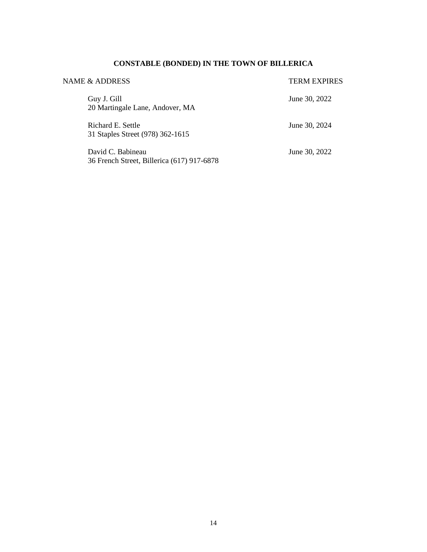# **CONSTABLE (BONDED) IN THE TOWN OF BILLERICA**

| NAME & ADDRESS                                                  | <b>TERM EXPIRES</b> |
|-----------------------------------------------------------------|---------------------|
| Guy J. Gill<br>20 Martingale Lane, Andover, MA                  | June 30, 2022       |
| Richard E. Settle<br>31 Staples Street (978) 362-1615           | June 30, 2024       |
| David C. Babineau<br>36 French Street, Billerica (617) 917-6878 | June 30, 2022       |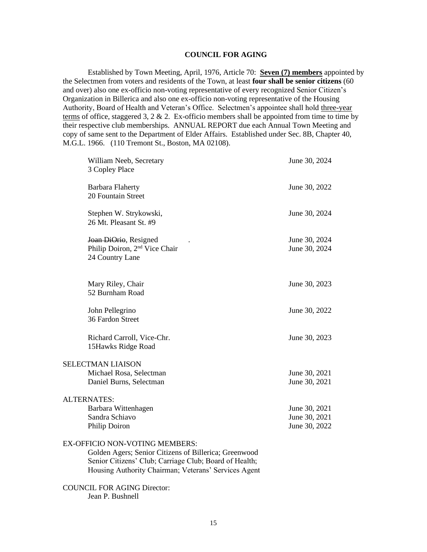#### **COUNCIL FOR AGING**

Established by Town Meeting, April, 1976, Article 70: **Seven (7) members** appointed by the Selectmen from voters and residents of the Town, at least **four shall be senior citizens** (60 and over) also one ex-officio non-voting representative of every recognized Senior Citizen's Organization in Billerica and also one ex-officio non-voting representative of the Housing Authority, Board of Health and Veteran's Office. Selectmen's appointee shall hold three-year terms of office, staggered 3, 2  $\&$  2. Ex-officio members shall be appointed from time to time by their respective club memberships. ANNUAL REPORT due each Annual Town Meeting and copy of same sent to the Department of Elder Affairs. Established under Sec. 8B, Chapter 40, M.G.L. 1966. (110 Tremont St., Boston, MA 02108).

| William Neeb, Secretary<br>3 Copley Place                                             | June 30, 2024                  |
|---------------------------------------------------------------------------------------|--------------------------------|
| <b>Barbara Flaherty</b><br>20 Fountain Street                                         | June 30, 2022                  |
| Stephen W. Strykowski,<br>26 Mt. Pleasant St. #9                                      | June 30, 2024                  |
| Joan DiOrio, Resigned<br>Philip Doiron, 2 <sup>nd</sup> Vice Chair<br>24 Country Lane | June 30, 2024<br>June 30, 2024 |
| Mary Riley, Chair<br>52 Burnham Road                                                  | June 30, 2023                  |
| John Pellegrino<br>36 Fardon Street                                                   | June 30, 2022                  |
| Richard Carroll, Vice-Chr.<br>15Hawks Ridge Road                                      | June 30, 2023                  |
| <b>SELECTMAN LIAISON</b>                                                              |                                |
| Michael Rosa, Selectman                                                               | June 30, 2021                  |
| Daniel Burns, Selectman                                                               | June 30, 2021                  |
| <b>ALTERNATES:</b>                                                                    |                                |
| Barbara Wittenhagen                                                                   | June 30, 2021                  |
| Sandra Schiavo                                                                        | June 30, 2021                  |
| Philip Doiron                                                                         | June 30, 2022                  |
| EX-OFFICIO NON-VOTING MEMBERS:                                                        |                                |

Golden Agers; Senior Citizens of Billerica; Greenwood Senior Citizens' Club; Carriage Club; Board of Health; Housing Authority Chairman; Veterans' Services Agent

COUNCIL FOR AGING Director: Jean P. Bushnell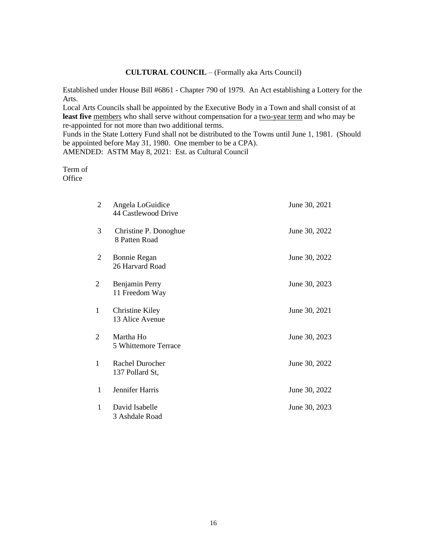## **CULTURAL COUNCIL** – (Formally aka Arts Council)

Established under House Bill #6861 - Chapter 790 of 1979. An Act establishing a Lottery for the Arts.

Local Arts Councils shall be appointed by the Executive Body in a Town and shall consist of at least five members who shall serve without compensation for a two-year term and who may be re-appointed for not more than two additional terms.

Funds in the State Lottery Fund shall not be distributed to the Towns until June 1, 1981. (Should be appointed before May 31, 1980. One member to be a CPA). AMENDED: ASTM May 8, 2021: Est. as Cultural Council

Term of **Office** 

| 2                           | Angela LoGuidice<br>44 Castlewood Drive   | June 30, 2021 |
|-----------------------------|-------------------------------------------|---------------|
| 3                           | Christine P. Donoghue<br>8 Patten Road    | June 30, 2022 |
| 2                           | Bonnie Regan<br>26 Harvard Road           | June 30, 2022 |
| 2                           | Benjamin Perry<br>11 Freedom Way          | June 30, 2023 |
| $\mathbf{1}$                | <b>Christine Kiley</b><br>13 Alice Avenue | June 30, 2021 |
| $\mathcal{D}_{\mathcal{L}}$ | Martha Ho<br>5 Whittemore Terrace         | June 30, 2023 |
| 1                           | Rachel Durocher<br>137 Pollard St,        | June 30, 2022 |
| 1                           | Jennifer Harris                           | June 30, 2022 |
| 1                           | David Isabelle<br>3 Ashdale Road          | June 30, 2023 |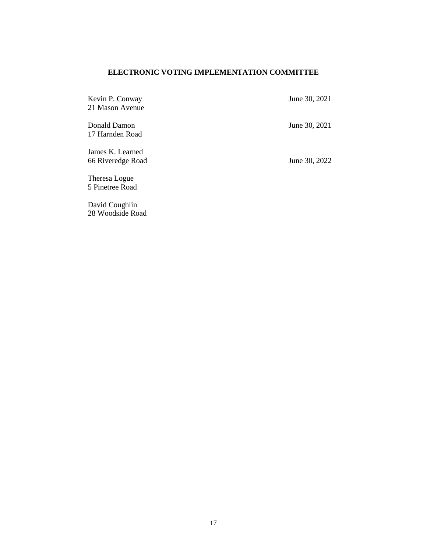# **ELECTRONIC VOTING IMPLEMENTATION COMMITTEE**

| Kevin P. Conway<br>21 Mason Avenue    | June 30, 2021 |
|---------------------------------------|---------------|
| Donald Damon<br>17 Harnden Road       | June 30, 2021 |
| James K. Learned<br>66 Riveredge Road | June 30, 2022 |
| Theresa Logue<br>5 Pinetree Road      |               |

David Coughlin 28 Woodside Road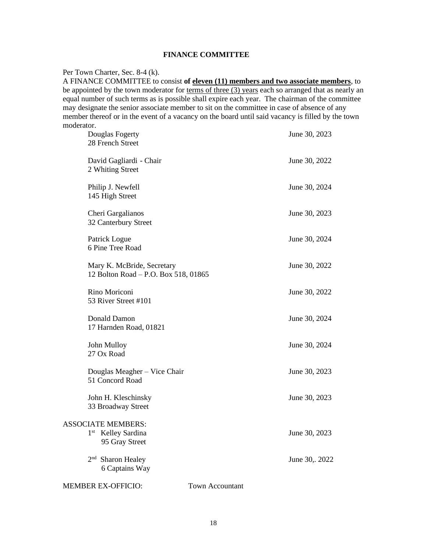# **FINANCE COMMITTEE**

#### Per Town Charter, Sec. 8-4 (k).

A FINANCE COMMITTEE to consist **of eleven (11) members and two associate members**, to be appointed by the town moderator for terms of three (3) years each so arranged that as nearly an equal number of such terms as is possible shall expire each year. The chairman of the committee may designate the senior associate member to sit on the committee in case of absence of any member thereof or in the event of a vacancy on the board until said vacancy is filled by the town moderator.

| Douglas Fogerty<br>28 French Street                                           | June 30, 2023          |
|-------------------------------------------------------------------------------|------------------------|
| David Gagliardi - Chair<br>2 Whiting Street                                   | June 30, 2022          |
| Philip J. Newfell<br>145 High Street                                          | June 30, 2024          |
| Cheri Gargalianos<br>32 Canterbury Street                                     | June 30, 2023          |
| Patrick Logue<br>6 Pine Tree Road                                             | June 30, 2024          |
| Mary K. McBride, Secretary<br>12 Bolton Road - P.O. Box 518, 01865            | June 30, 2022          |
| Rino Moriconi<br>53 River Street #101                                         | June 30, 2022          |
| Donald Damon<br>17 Harnden Road, 01821                                        | June 30, 2024          |
| John Mulloy<br>27 Ox Road                                                     | June 30, 2024          |
| Douglas Meagher - Vice Chair<br>51 Concord Road                               | June 30, 2023          |
| John H. Kleschinsky<br>33 Broadway Street                                     | June 30, 2023          |
| <b>ASSOCIATE MEMBERS:</b><br>$1^{\rm st}$<br>Kelley Sardina<br>95 Gray Street | June 30, 2023          |
| 2 <sup>nd</sup> Sharon Healey<br>6 Captains Way                               | June 30,. 2022         |
| <b>MEMBER EX-OFFICIO:</b>                                                     | <b>Town Accountant</b> |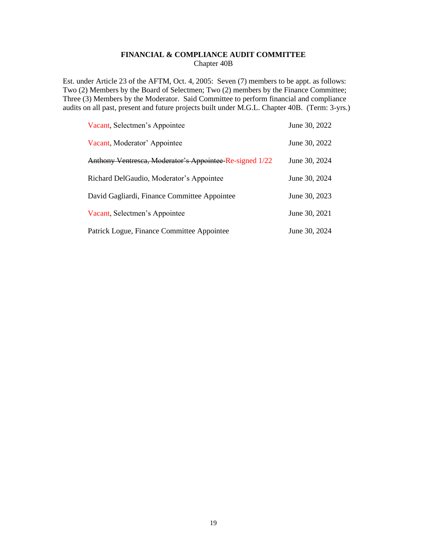# **FINANCIAL & COMPLIANCE AUDIT COMMITTEE** Chapter 40B

Est. under Article 23 of the AFTM, Oct. 4, 2005: Seven (7) members to be appt. as follows: Two (2) Members by the Board of Selectmen; Two (2) members by the Finance Committee; Three (3) Members by the Moderator. Said Committee to perform financial and compliance audits on all past, present and future projects built under M.G.L. Chapter 40B. (Term: 3-yrs.)

| Vacant, Selectmen's Appointee                           | June 30, 2022 |
|---------------------------------------------------------|---------------|
| Vacant, Moderator' Appointee                            | June 30, 2022 |
| Anthony Ventresca, Moderator's Appointee-Re-signed 1/22 | June 30, 2024 |
| Richard DelGaudio, Moderator's Appointee                | June 30, 2024 |
| David Gagliardi, Finance Committee Appointee            | June 30, 2023 |
| Vacant, Selectmen's Appointee                           | June 30, 2021 |
| Patrick Logue, Finance Committee Appointee              | June 30, 2024 |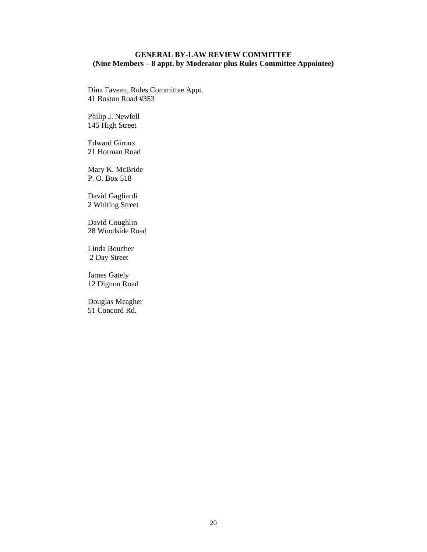# **GENERAL BY-LAW REVIEW COMMITTEE (Nine Members – 8 appt. by Moderator plus Rules Committee Appointee)**

Dina Faveau, Rules Committee Appt. 41 Boston Road #353

Philip J. Newfell 145 High Street

Edward Giroux 21 Horman Road

Mary K. McBride P. O. Box 518

David Gagliardi 2 Whiting Street

David Coughlin 28 Woodside Road

Linda Boucher 2 Day Street

James Gately 12 Dignon Road

Douglas Meagher 51 Concord Rd.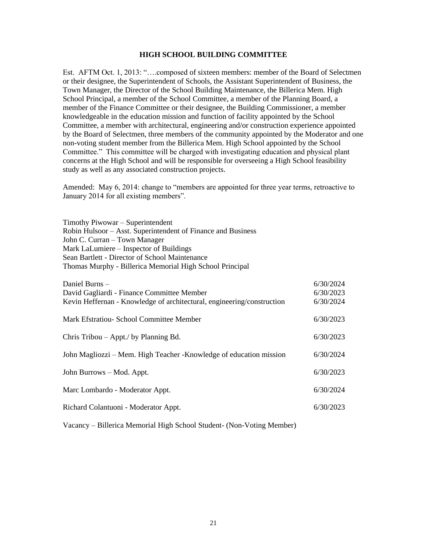#### **HIGH SCHOOL BUILDING COMMITTEE**

Est. AFTM Oct. 1, 2013: "….composed of sixteen members: member of the Board of Selectmen or their designee, the Superintendent of Schools, the Assistant Superintendent of Business, the Town Manager, the Director of the School Building Maintenance, the Billerica Mem. High School Principal, a member of the School Committee, a member of the Planning Board, a member of the Finance Committee or their designee, the Building Commissioner, a member knowledgeable in the education mission and function of facility appointed by the School Committee, a member with architectural, engineering and/or construction experience appointed by the Board of Selectmen, three members of the community appointed by the Moderator and one non-voting student member from the Billerica Mem. High School appointed by the School Committee." This committee will be charged with investigating education and physical plant concerns at the High School and will be responsible for overseeing a High School feasibility study as well as any associated construction projects.

Amended: May 6, 2014: change to "members are appointed for three year terms, retroactive to January 2014 for all existing members".

Timothy Piwowar – Superintendent Robin Hulsoor – Asst. Superintendent of Finance and Business John C. Curran – Town Manager Mark LaLumiere – Inspector of Buildings Sean Bartlett - Director of School Maintenance Thomas Murphy - Billerica Memorial High School Principal

| Daniel Burns -                                                         | 6/30/2024 |
|------------------------------------------------------------------------|-----------|
| David Gagliardi - Finance Committee Member                             | 6/30/2023 |
| Kevin Heffernan - Knowledge of architectural, engineering/construction | 6/30/2024 |
| Mark Efstratiou - School Committee Member                              | 6/30/2023 |
| Chris Tribou $-$ Appt./ by Planning Bd.                                | 6/30/2023 |
| John Magliozzi – Mem. High Teacher - Knowledge of education mission    | 6/30/2024 |
| John Burrows – Mod. Appt.                                              | 6/30/2023 |
| Marc Lombardo - Moderator Appt.                                        | 6/30/2024 |
| Richard Colantuoni - Moderator Appt.                                   | 6/30/2023 |

Vacancy – Billerica Memorial High School Student- (Non-Voting Member)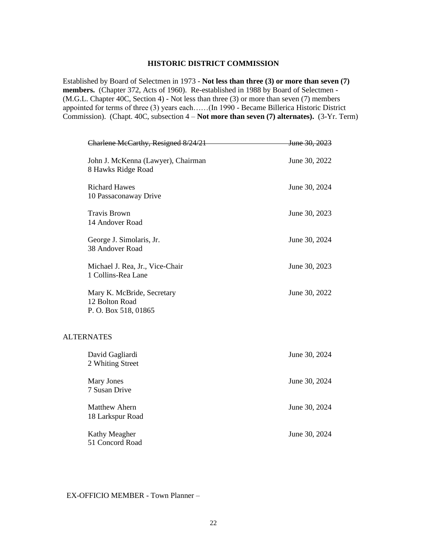# **HISTORIC DISTRICT COMMISSION**

Established by Board of Selectmen in 1973 - **Not less than three (3) or more than seven (7) members.** (Chapter 372, Acts of 1960). Re-established in 1988 by Board of Selectmen - (M.G.L. Chapter 40C, Section 4) - Not less than three (3) or more than seven (7) members appointed for terms of three (3) years each……(In 1990 - Became Billerica Historic District Commission). (Chapt. 40C, subsection 4 – **Not more than seven (7) alternates).** (3-Yr. Term)

| Charlene McCarthy, Resigned 8/24/21                                 | June 30, 2023 |
|---------------------------------------------------------------------|---------------|
| John J. McKenna (Lawyer), Chairman<br>8 Hawks Ridge Road            | June 30, 2022 |
| <b>Richard Hawes</b><br>10 Passaconaway Drive                       | June 30, 2024 |
| <b>Travis Brown</b><br>14 Andover Road                              | June 30, 2023 |
| George J. Simolaris, Jr.<br>38 Andover Road                         | June 30, 2024 |
| Michael J. Rea, Jr., Vice-Chair<br>1 Collins-Rea Lane               | June 30, 2023 |
| Mary K. McBride, Secretary<br>12 Bolton Road<br>P.O. Box 518, 01865 | June 30, 2022 |
| <b>ALTERNATES</b>                                                   |               |
| David Gagliardi<br>2 Whiting Street                                 | June 30, 2024 |
| <b>Mary Jones</b><br>7 Susan Drive                                  | June 30, 2024 |
| <b>Matthew Ahern</b><br>18 Larkspur Road                            | June 30, 2024 |
| Kathy Meagher<br>51 Concord Road                                    | June 30, 2024 |

# EX-OFFICIO MEMBER - Town Planner –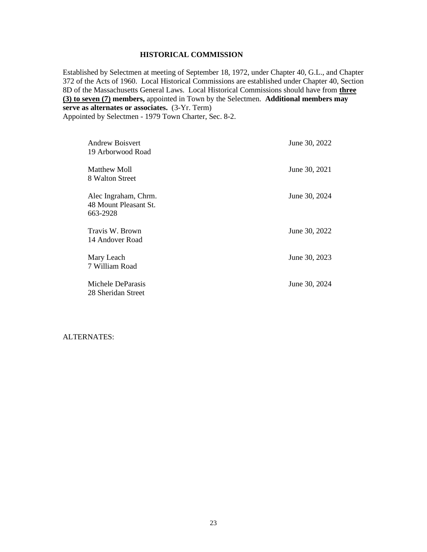# **HISTORICAL COMMISSION**

Established by Selectmen at meeting of September 18, 1972, under Chapter 40, G.L., and Chapter 372 of the Acts of 1960. Local Historical Commissions are established under Chapter 40, Section 8D of the Massachusetts General Laws. Local Historical Commissions should have from **three (3) to seven (7) members,** appointed in Town by the Selectmen. **Additional members may serve as alternates or associates.** (3-Yr. Term) Appointed by Selectmen - 1979 Town Charter, Sec. 8-2.

| Andrew Boisvert<br>19 Arborwood Road                      | June 30, 2022 |
|-----------------------------------------------------------|---------------|
| Matthew Moll<br>8 Walton Street                           | June 30, 2021 |
| Alec Ingraham, Chrm.<br>48 Mount Pleasant St.<br>663-2928 | June 30, 2024 |
| Travis W. Brown<br>14 Andover Road                        | June 30, 2022 |
| Mary Leach<br>7 William Road                              | June 30, 2023 |
| Michele DeParasis<br>28 Sheridan Street                   | June 30, 2024 |

#### ALTERNATES: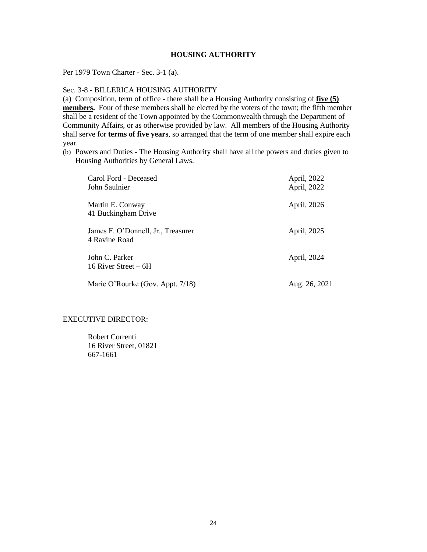# **HOUSING AUTHORITY**

Per 1979 Town Charter - Sec. 3-1 (a).

Sec. 3-8 - BILLERICA HOUSING AUTHORITY

(a) Composition, term of office - there shall be a Housing Authority consisting of **five (5) members.** Four of these members shall be elected by the voters of the town; the fifth member shall be a resident of the Town appointed by the Commonwealth through the Department of Community Affairs, or as otherwise provided by law. All members of the Housing Authority shall serve for **terms of five years**, so arranged that the term of one member shall expire each year.

(b) Powers and Duties - The Housing Authority shall have all the powers and duties given to Housing Authorities by General Laws.

| Carol Ford - Deceased<br>John Saulnier              | April, 2022<br>April, 2022 |
|-----------------------------------------------------|----------------------------|
| Martin E. Conway<br>41 Buckingham Drive             | April, 2026                |
| James F. O'Donnell, Jr., Treasurer<br>4 Ravine Road | April, 2025                |
| John C. Parker<br>16 River Street $-6H$             | April, 2024                |
| Marie O'Rourke (Gov. Appt. 7/18)                    | Aug. 26, 2021              |

# EXECUTIVE DIRECTOR:

Robert Correnti 16 River Street, 01821 667-1661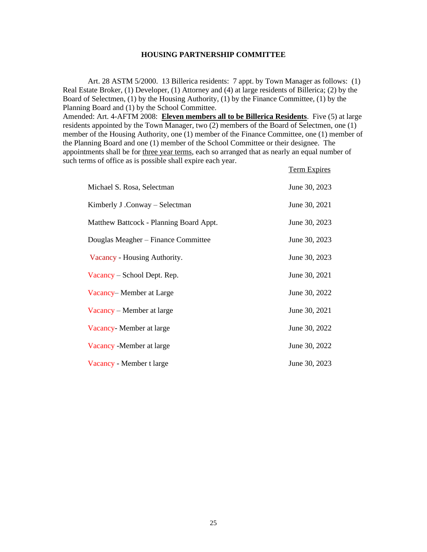#### **HOUSING PARTNERSHIP COMMITTEE**

Art. 28 ASTM 5/2000. 13 Billerica residents: 7 appt. by Town Manager as follows: (1) Real Estate Broker, (1) Developer, (1) Attorney and (4) at large residents of Billerica; (2) by the Board of Selectmen, (1) by the Housing Authority, (1) by the Finance Committee, (1) by the Planning Board and (1) by the School Committee.

Amended: Art. 4-AFTM 2008: **Eleven members all to be Billerica Residents**. Five (5) at large residents appointed by the Town Manager, two (2) members of the Board of Selectmen, one (1) member of the Housing Authority, one (1) member of the Finance Committee, one (1) member of the Planning Board and one (1) member of the School Committee or their designee. The appointments shall be for three year terms, each so arranged that as nearly an equal number of such terms of office as is possible shall expire each year.

|                                         | <b>Term Expires</b> |
|-----------------------------------------|---------------------|
| Michael S. Rosa, Selectman              | June 30, 2023       |
| Kimberly J.Conway – Selectman           | June 30, 2021       |
| Matthew Battcock - Planning Board Appt. | June 30, 2023       |
| Douglas Meagher – Finance Committee     | June 30, 2023       |
| Vacancy - Housing Authority.            | June 30, 2023       |
| Vacancy – School Dept. Rep.             | June 30, 2021       |
| Vacancy–Member at Large                 | June 30, 2022       |
| Vacancy – Member at large               | June 30, 2021       |
| Vacancy - Member at large               | June 30, 2022       |
| Vacancy - Member at large               | June 30, 2022       |
| Vacancy - Member t large                | June 30, 2023       |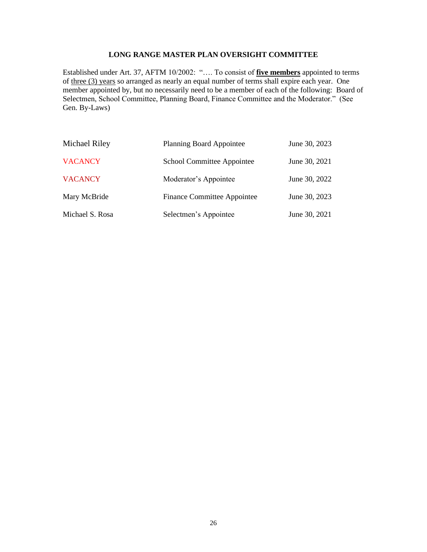# **LONG RANGE MASTER PLAN OVERSIGHT COMMITTEE**

Established under Art. 37, AFTM 10/2002: "…. To consist of **five members** appointed to terms of three (3) years so arranged as nearly an equal number of terms shall expire each year. One member appointed by, but no necessarily need to be a member of each of the following: Board of Selectmen, School Committee, Planning Board, Finance Committee and the Moderator." (See Gen. By-Laws)

| Michael Riley   | <b>Planning Board Appointee</b>    | June 30, 2023 |
|-----------------|------------------------------------|---------------|
| <b>VACANCY</b>  | School Committee Appointee         | June 30, 2021 |
| <b>VACANCY</b>  | Moderator's Appointee              | June 30, 2022 |
| Mary McBride    | <b>Finance Committee Appointee</b> | June 30, 2023 |
| Michael S. Rosa | Selectmen's Appointee              | June 30, 2021 |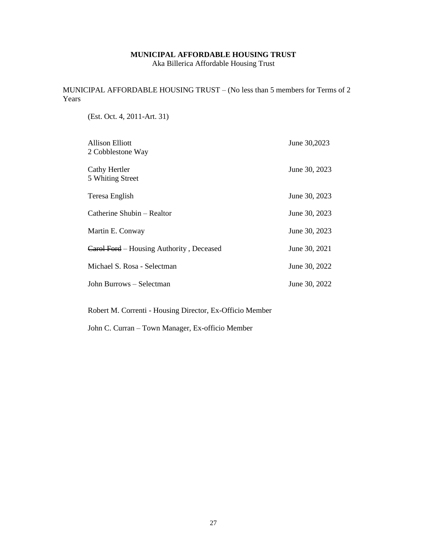## **MUNICIPAL AFFORDABLE HOUSING TRUST**

Aka Billerica Affordable Housing Trust

MUNICIPAL AFFORDABLE HOUSING TRUST – (No less than 5 members for Terms of 2 Years

(Est. Oct. 4, 2011-Art. 31)

| Allison Elliott<br>2 Cobblestone Way     | June 30,2023  |
|------------------------------------------|---------------|
| Cathy Hertler<br>5 Whiting Street        | June 30, 2023 |
| Teresa English                           | June 30, 2023 |
| Catherine Shubin – Realtor               | June 30, 2023 |
| Martin E. Conway                         | June 30, 2023 |
| Carol Ford – Housing Authority, Deceased | June 30, 2021 |
| Michael S. Rosa - Selectman              | June 30, 2022 |
| John Burrows – Selectman                 | June 30, 2022 |

Robert M. Correnti - Housing Director, Ex-Officio Member

John C. Curran – Town Manager, Ex-officio Member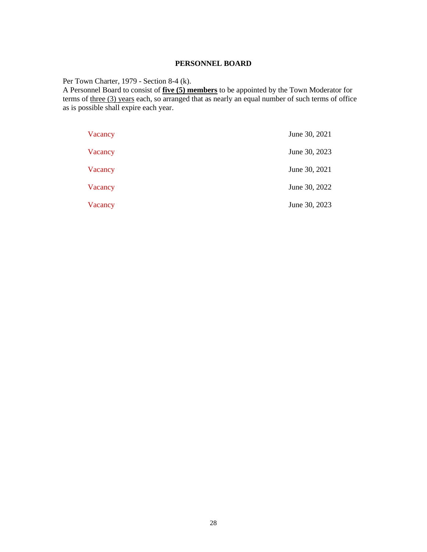# **PERSONNEL BOARD**

Per Town Charter, 1979 - Section 8-4 (k).

A Personnel Board to consist of **five (5) members** to be appointed by the Town Moderator for terms of <u>three (3) years</u> each, so arranged that as nearly an equal number of such terms of office as is possible shall expire each year.

| Vacancy | June 30, 2021 |
|---------|---------------|
| Vacancy | June 30, 2023 |
| Vacancy | June 30, 2021 |
| Vacancy | June 30, 2022 |
| Vacancy | June 30, 2023 |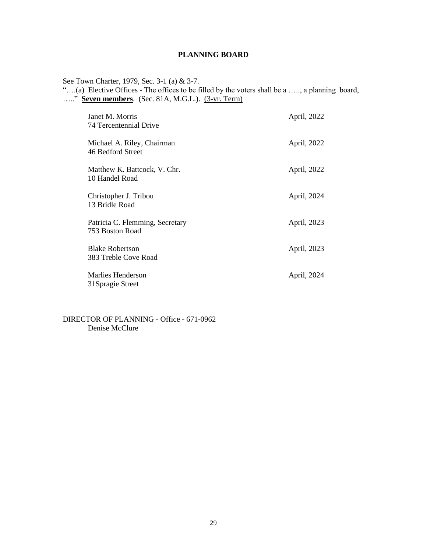# **PLANNING BOARD**

See Town Charter, 1979, Sec. 3-1 (a) & 3-7.

"….(a) Elective Offices - The offices to be filled by the voters shall be a ….., a planning board, ….." **Seven members**. (Sec. 81A, M.G.L.). (3-yr. Term)

| Janet M. Morris<br>74 Tercentennial Drive          | April, 2022 |
|----------------------------------------------------|-------------|
| Michael A. Riley, Chairman<br>46 Bedford Street    | April, 2022 |
| Matthew K. Battcock, V. Chr.<br>10 Handel Road     | April, 2022 |
| Christopher J. Tribou<br>13 Bridle Road            | April, 2024 |
| Patricia C. Flemming, Secretary<br>753 Boston Road | April, 2023 |
| <b>Blake Robertson</b><br>383 Treble Cove Road     | April, 2023 |
| Marlies Henderson<br>31Spragie Street              | April, 2024 |

DIRECTOR OF PLANNING - Office - 671-0962 Denise McClure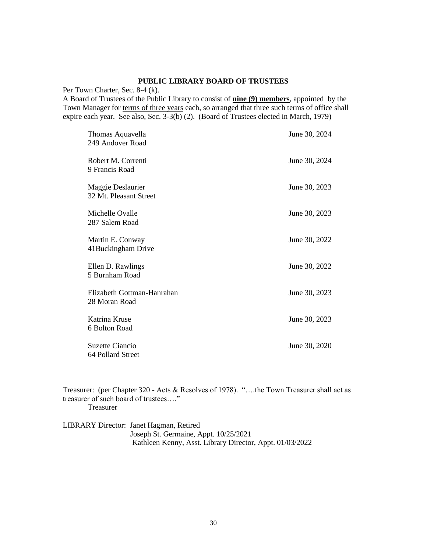## **PUBLIC LIBRARY BOARD OF TRUSTEES**

Per Town Charter, Sec. 8-4 (k).

A Board of Trustees of the Public Library to consist of **nine (9) members**, appointed by the Town Manager for terms of three years each, so arranged that three such terms of office shall expire each year. See also, Sec. 3-3(b) (2). (Board of Trustees elected in March, 1979)

| Thomas Aquavella<br>249 Andover Road        | June 30, 2024 |
|---------------------------------------------|---------------|
| Robert M. Correnti<br>9 Francis Road        | June 30, 2024 |
| Maggie Deslaurier<br>32 Mt. Pleasant Street | June 30, 2023 |
| Michelle Ovalle<br>287 Salem Road           | June 30, 2023 |
| Martin E. Conway<br>41 Buckingham Drive     | June 30, 2022 |
| Ellen D. Rawlings<br>5 Burnham Road         | June 30, 2022 |
| Elizabeth Gottman-Hanrahan<br>28 Moran Road | June 30, 2023 |
| Katrina Kruse<br>6 Bolton Road              | June 30, 2023 |
| Suzette Ciancio<br>64 Pollard Street        | June 30, 2020 |

Treasurer: (per Chapter 320 - Acts & Resolves of 1978). "….the Town Treasurer shall act as treasurer of such board of trustees…." Treasurer

LIBRARY Director: Janet Hagman, Retired Joseph St. Germaine, Appt. 10/25/2021 Kathleen Kenny, Asst. Library Director, Appt. 01/03/2022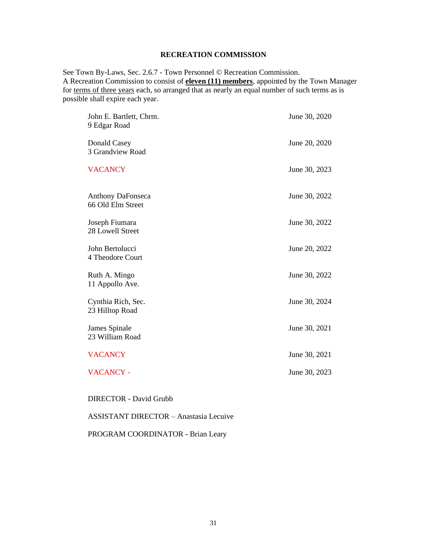# **RECREATION COMMISSION**

See Town By-Laws, Sec. 2.6.7 - Town Personnel © Recreation Commission. A Recreation Commission to consist of **eleven (11) members**, appointed by the Town Manager for terms of three years each, so arranged that as nearly an equal number of such terms as is possible shall expire each year.

| John E. Bartlett, Chrm.<br>9 Edgar Road       | June 30, 2020 |
|-----------------------------------------------|---------------|
| Donald Casey<br>3 Grandview Road              | June 20, 2020 |
| <b>VACANCY</b>                                | June 30, 2023 |
| <b>Anthony DaFonseca</b><br>66 Old Elm Street | June 30, 2022 |
| Joseph Fiumara<br>28 Lowell Street            | June 30, 2022 |
| John Bertolucci<br>4 Theodore Court           | June 20, 2022 |
| Ruth A. Mingo<br>11 Appollo Ave.              | June 30, 2022 |
| Cynthia Rich, Sec.<br>23 Hilltop Road         | June 30, 2024 |
| James Spinale<br>23 William Road              | June 30, 2021 |
| <b>VACANCY</b>                                | June 30, 2021 |
| <b>VACANCY -</b>                              | June 30, 2023 |

DIRECTOR - David Grubb

## ASSISTANT DIRECTOR – Anastasia Lecuive

PROGRAM COORDINATOR - Brian Leary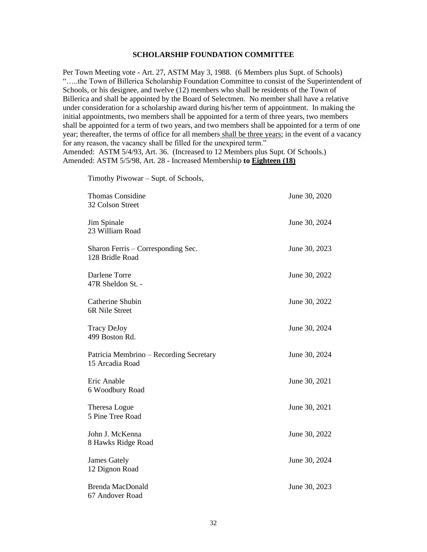#### **SCHOLARSHIP FOUNDATION COMMITTEE**

Per Town Meeting vote - Art. 27, ASTM May 3, 1988. (6 Members plus Supt. of Schools) "…..the Town of Billerica Scholarship Foundation Committee to consist of the Superintendent of Schools, or his designee, and twelve (12) members who shall be residents of the Town of Billerica and shall be appointed by the Board of Selectmen. No member shall have a relative under consideration for a scholarship award during his/her term of appointment. In making the initial appointments, two members shall be appointed for a term of three years, two members shall be appointed for a term of two years, and two members shall be appointed for a term of one year; thereafter, the terms of office for all members shall be three years; in the event of a vacancy for any reason, the vacancy shall be filled for the unexpired term." Amended: ASTM 5/4/93, Art. 36. (Increased to 12 Members plus Supt. Of Schools.) Amended: ASTM 5/5/98, Art. 28 - Increased Membership **to Eighteen (18)**

Timothy Piwowar – Supt. of Schools,

| <b>Thomas Considine</b><br>32 Colson Street                | June 30, 2020 |
|------------------------------------------------------------|---------------|
| Jim Spinale<br>23 William Road                             | June 30, 2024 |
| Sharon Ferris – Corresponding Sec.<br>128 Bridle Road      | June 30, 2023 |
| Darlene Torre<br>47R Sheldon St. -                         | June 30, 2022 |
| Catherine Shubin<br>6R Nile Street                         | June 30, 2022 |
| <b>Tracy DeJoy</b><br>499 Boston Rd.                       | June 30, 2024 |
| Patricia Membrino – Recording Secretary<br>15 Arcadia Road | June 30, 2024 |
| Eric Anable<br>6 Woodbury Road                             | June 30, 2021 |
| Theresa Logue<br>5 Pine Tree Road                          | June 30, 2021 |
| John J. McKenna<br>8 Hawks Ridge Road                      | June 30, 2022 |
| <b>James Gately</b><br>12 Dignon Road                      | June 30, 2024 |
| <b>Brenda MacDonald</b><br>67 Andover Road                 | June 30, 2023 |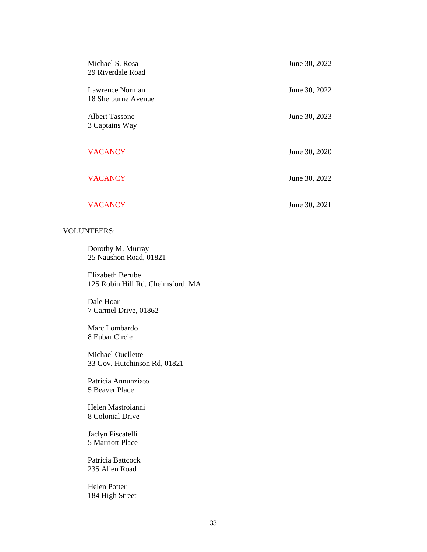| Michael S. Rosa<br>29 Riverdale Road   | June 30, 2022 |
|----------------------------------------|---------------|
| Lawrence Norman<br>18 Shelburne Avenue | June 30, 2022 |
| Albert Tassone<br>3 Captains Way       | June 30, 2023 |
| <b>VACANCY</b>                         | June 30, 2020 |
| <b>VACANCY</b>                         | June 30, 2022 |
| <b>VACANCY</b>                         | June 30, 2021 |

# VOLUNTEERS:

Dorothy M. Murray 25 Naushon Road, 01821

Elizabeth Berube 125 Robin Hill Rd, Chelmsford, MA

Dale Hoar 7 Carmel Drive, 01862

Marc Lombardo 8 Eubar Circle

Michael Ouellette 33 Gov. Hutchinson Rd, 01821

Patricia Annunziato 5 Beaver Place

Helen Mastroianni 8 Colonial Drive

Jaclyn Piscatelli 5 Marriott Place

Patricia Battcock 235 Allen Road

Helen Potter 184 High Street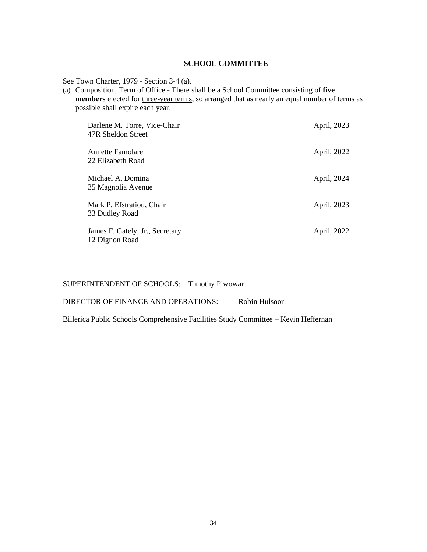# **SCHOOL COMMITTEE**

See Town Charter, 1979 - Section 3-4 (a).

(a) Composition, Term of Office - There shall be a School Committee consisting of **five members** elected for three-year terms, so arranged that as nearly an equal number of terms as possible shall expire each year.

| Darlene M. Torre, Vice-Chair<br>47R Sheldon Street | April, 2023 |
|----------------------------------------------------|-------------|
| Annette Famolare<br>22 Elizabeth Road              | April, 2022 |
| Michael A. Domina<br>35 Magnolia Avenue            | April, 2024 |
| Mark P. Efstratiou, Chair<br>33 Dudley Road        | April, 2023 |
| James F. Gately, Jr., Secretary<br>12 Dignon Road  | April, 2022 |

SUPERINTENDENT OF SCHOOLS: Timothy Piwowar

DIRECTOR OF FINANCE AND OPERATIONS: Robin Hulsoor

Billerica Public Schools Comprehensive Facilities Study Committee – Kevin Heffernan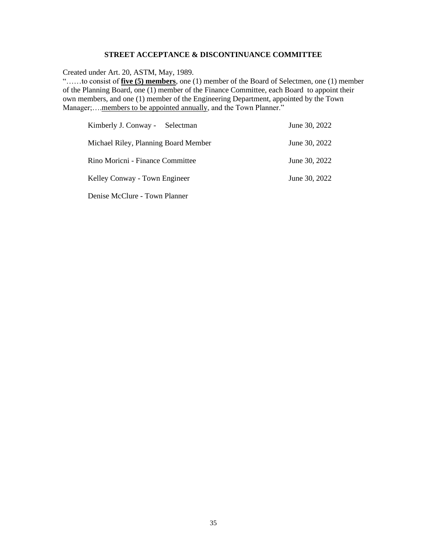## **STREET ACCEPTANCE & DISCONTINUANCE COMMITTEE**

Created under Art. 20, ASTM, May, 1989.

"……to consist of **five (5) members**, one (1) member of the Board of Selectmen, one (1) member of the Planning Board, one (1) member of the Finance Committee, each Board to appoint their own members, and one (1) member of the Engineering Department, appointed by the Town Manager;....members to be appointed annually, and the Town Planner."

| Kimberly J. Conway - Selectman       | June 30, 2022 |
|--------------------------------------|---------------|
| Michael Riley, Planning Board Member | June 30, 2022 |
| Rino Moricni - Finance Committee     | June 30, 2022 |
| Kelley Conway - Town Engineer        | June 30, 2022 |
| Denise McClure - Town Planner        |               |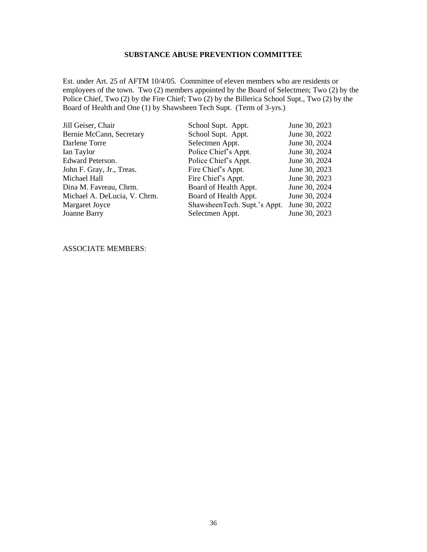## **SUBSTANCE ABUSE PREVENTION COMMITTEE**

Est. under Art. 25 of AFTM 10/4/05. Committee of eleven members who are residents or employees of the town. Two (2) members appointed by the Board of Selectmen; Two (2) by the Police Chief, Two (2) by the Fire Chief; Two (2) by the Billerica School Supt., Two (2) by the Board of Health and One (1) by Shawsheen Tech Supt. (Term of 3-yrs.)

| Jill Geiser, Chair           | School Supt. Appt.           | June 30, 2023 |
|------------------------------|------------------------------|---------------|
| Bernie McCann, Secretary     | School Supt. Appt.           | June 30, 2022 |
| Darlene Torre                | Selectmen Appt.              | June 30, 2024 |
| Ian Taylor                   | Police Chief's Appt.         | June 30, 2024 |
| <b>Edward Peterson.</b>      | Police Chief's Appt.         | June 30, 2024 |
| John F. Gray, Jr., Treas.    | Fire Chief's Appt.           | June 30, 2023 |
| Michael Hall                 | Fire Chief's Appt.           | June 30, 2023 |
| Dina M. Favreau, Chrm.       | Board of Health Appt.        | June 30, 2024 |
| Michael A. DeLucia, V. Chrm. | Board of Health Appt.        | June 30, 2024 |
| Margaret Joyce               | ShawsheenTech. Supt.'s Appt. | June 30, 2022 |
| <b>Joanne Barry</b>          | Selectmen Appt.              | June 30, 2023 |

ASSOCIATE MEMBERS: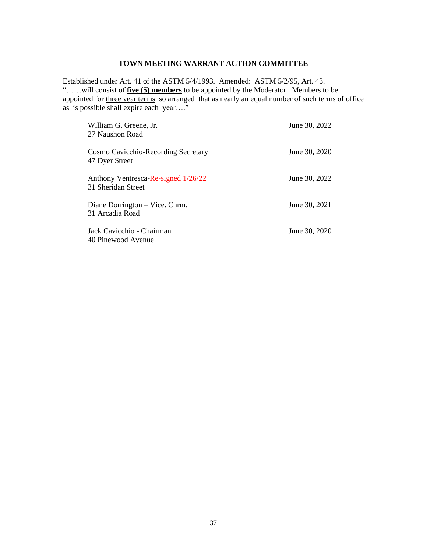# **TOWN MEETING WARRANT ACTION COMMITTEE**

Established under Art. 41 of the ASTM 5/4/1993. Amended: ASTM 5/2/95, Art. 43. "……will consist of **five (5) members** to be appointed by the Moderator. Members to be appointed for three year terms so arranged that as nearly an equal number of such terms of office as is possible shall expire each year…."

| William G. Greene, Jr.<br>27 Naushon Road                 | June 30, 2022 |
|-----------------------------------------------------------|---------------|
| Cosmo Cavicchio-Recording Secretary<br>47 Dyer Street     | June 30, 2020 |
| Anthony Ventresea-Re-signed 1/26/22<br>31 Sheridan Street | June 30, 2022 |
| Diane Dorrington – Vice. Chrm.<br>31 Arcadia Road         | June 30, 2021 |
| Jack Cavicchio - Chairman<br>40 Pinewood Avenue           | June 30, 2020 |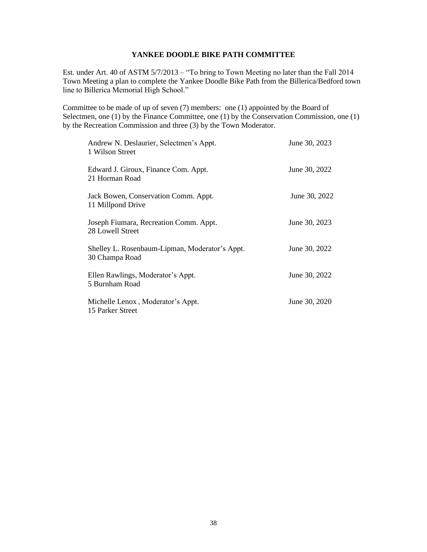# **YANKEE DOODLE BIKE PATH COMMITTEE**

Est. under Art. 40 of ASTM 5/7/2013 – "To bring to Town Meeting no later than the Fall 2014 Town Meeting a plan to complete the Yankee Doodle Bike Path from the Billerica/Bedford town line to Billerica Memorial High School."

Committee to be made of up of seven (7) members: one (1) appointed by the Board of Selectmen, one (1) by the Finance Committee, one (1) by the Conservation Commission, one (1) by the Recreation Commission and three (3) by the Town Moderator.

| Andrew N. Deslaurier, Selectmen's Appt.<br>1 Wilson Street       | June 30, 2023 |
|------------------------------------------------------------------|---------------|
| Edward J. Giroux, Finance Com. Appt.<br>21 Horman Road           | June 30, 2022 |
| Jack Bowen, Conservation Comm. Appt.<br>11 Millpond Drive        | June 30, 2022 |
| Joseph Fiumara, Recreation Comm. Appt.<br>28 Lowell Street       | June 30, 2023 |
| Shelley L. Rosenbaum-Lipman, Moderator's Appt.<br>30 Champa Road | June 30, 2022 |
| Ellen Rawlings, Moderator's Appt.<br>5 Burnham Road              | June 30, 2022 |
| Michelle Lenox, Moderator's Appt.<br>15 Parker Street            | June 30, 2020 |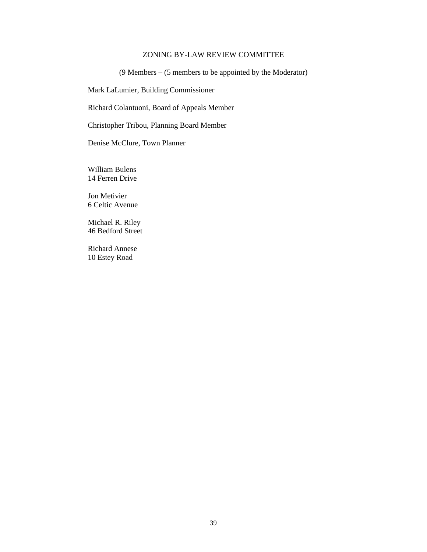# ZONING BY-LAW REVIEW COMMITTEE

(9 Members – (5 members to be appointed by the Moderator)

Mark LaLumier, Building Commissioner

Richard Colantuoni, Board of Appeals Member

Christopher Tribou, Planning Board Member

Denise McClure, Town Planner

William Bulens 14 Ferren Drive

Jon Metivier 6 Celtic Avenue

Michael R. Riley 46 Bedford Street

Richard Annese 10 Estey Road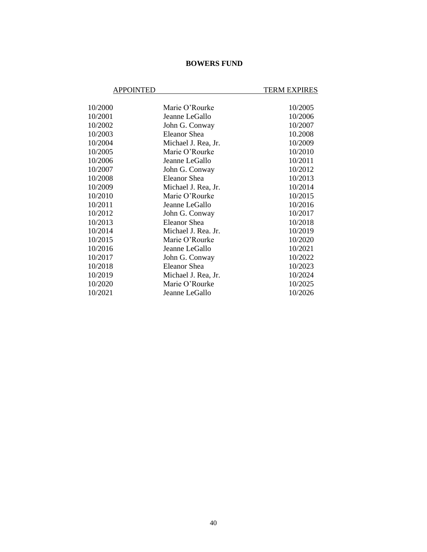# **BOWERS FUND**

# APPOINTED TERM EXPIRES

| 10/2000 | Marie O'Rourke      | 10/2005 |
|---------|---------------------|---------|
| 10/2001 | Jeanne LeGallo      | 10/2006 |
| 10/2002 | John G. Conway      | 10/2007 |
| 10/2003 | Eleanor Shea        | 10.2008 |
| 10/2004 | Michael J. Rea, Jr. | 10/2009 |
| 10/2005 | Marie O'Rourke      | 10/2010 |
| 10/2006 | Jeanne LeGallo      | 10/2011 |
| 10/2007 | John G. Conway      | 10/2012 |
| 10/2008 | Eleanor Shea        | 10/2013 |
| 10/2009 | Michael J. Rea, Jr. | 10/2014 |
| 10/2010 | Marie O'Rourke      | 10/2015 |
| 10/2011 | Jeanne LeGallo      | 10/2016 |
| 10/2012 | John G. Conway      | 10/2017 |
| 10/2013 | Eleanor Shea        | 10/2018 |
| 10/2014 | Michael J. Rea. Jr. | 10/2019 |
| 10/2015 | Marie O'Rourke      | 10/2020 |
| 10/2016 | Jeanne LeGallo      | 10/2021 |
| 10/2017 | John G. Conway      | 10/2022 |
| 10/2018 | Eleanor Shea        | 10/2023 |
| 10/2019 | Michael J. Rea, Jr. | 10/2024 |
| 10/2020 | Marie O'Rourke      | 10/2025 |
| 10/2021 | Jeanne LeGallo      | 10/2026 |
|         |                     |         |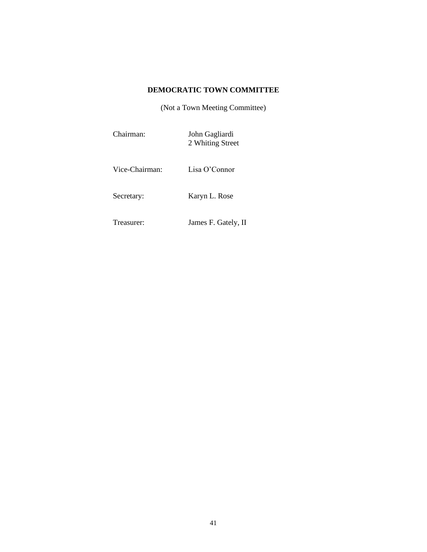# **DEMOCRATIC TOWN COMMITTEE**

(Not a Town Meeting Committee)

| Chairman: | John Gagliardi<br>2 Whiting Street |  |
|-----------|------------------------------------|--|
|           |                                    |  |

Vice-Chairman: Lisa O'Connor

Secretary: Karyn L. Rose

Treasurer: James F. Gately, II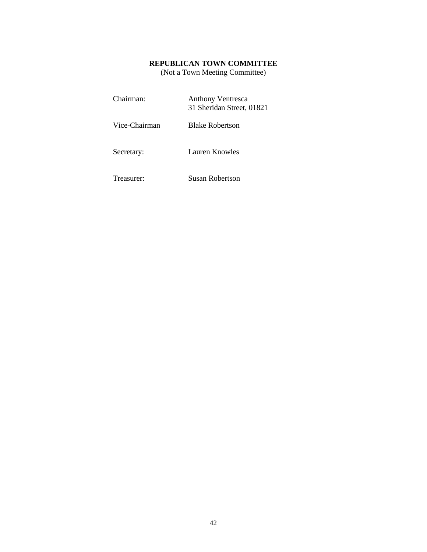# **REPUBLICAN TOWN COMMITTEE**

(Not a Town Meeting Committee)

| Chairman:     | <b>Anthony Ventresca</b><br>31 Sheridan Street, 01821 |
|---------------|-------------------------------------------------------|
| Vice-Chairman | <b>Blake Robertson</b>                                |
| Secretary:    | <b>Lauren Knowles</b>                                 |
| Treasurer:    | <b>Susan Robertson</b>                                |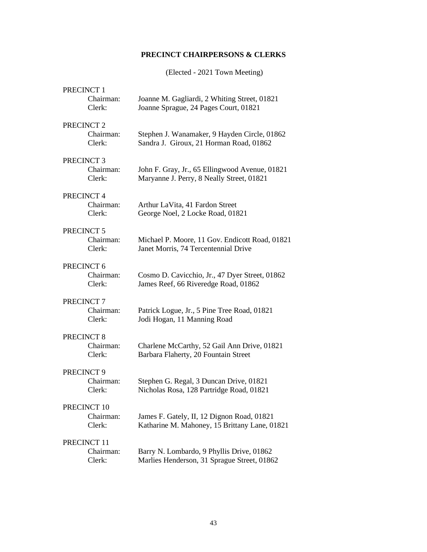# **PRECINCT CHAIRPERSONS & CLERKS**

(Elected - 2021 Town Meeting)

| PRECINCT 1            |                                                |
|-----------------------|------------------------------------------------|
| Chairman:             | Joanne M. Gagliardi, 2 Whiting Street, 01821   |
| Clerk:                | Joanne Sprague, 24 Pages Court, 01821          |
| PRECINCT <sub>2</sub> |                                                |
| Chairman:             | Stephen J. Wanamaker, 9 Hayden Circle, 01862   |
| Clerk:                | Sandra J. Giroux, 21 Horman Road, 01862        |
| PRECINCT <sub>3</sub> |                                                |
| Chairman:             | John F. Gray, Jr., 65 Ellingwood Avenue, 01821 |
| Clerk:                | Maryanne J. Perry, 8 Neally Street, 01821      |
| PRECINCT 4            |                                                |
| Chairman:             | Arthur LaVita, 41 Fardon Street                |
| Clerk:                | George Noel, 2 Locke Road, 01821               |
| PRECINCT 5            |                                                |
| Chairman:             | Michael P. Moore, 11 Gov. Endicott Road, 01821 |
| Clerk:                | Janet Morris, 74 Tercentennial Drive           |
| PRECINCT 6            |                                                |
| Chairman:             | Cosmo D. Cavicchio, Jr., 47 Dyer Street, 01862 |
| Clerk:                | James Reef, 66 Riveredge Road, 01862           |
| PRECINCT <sub>7</sub> |                                                |
| Chairman:             | Patrick Logue, Jr., 5 Pine Tree Road, 01821    |
| Clerk:                | Jodi Hogan, 11 Manning Road                    |
| PRECINCT <sub>8</sub> |                                                |
| Chairman:             | Charlene McCarthy, 52 Gail Ann Drive, 01821    |
| Clerk:                | Barbara Flaherty, 20 Fountain Street           |
| PRECINCT 9            |                                                |
| Chairman:             | Stephen G. Regal, 3 Duncan Drive, 01821        |
| Clerk:                | Nicholas Rosa, 128 Partridge Road, 01821       |
| PRECINCT 10           |                                                |
| Chairman:             | James F. Gately, II, 12 Dignon Road, 01821     |
| Clerk:                | Katharine M. Mahoney, 15 Brittany Lane, 01821  |
| PRECINCT 11           |                                                |
| Chairman:             | Barry N. Lombardo, 9 Phyllis Drive, 01862      |
| Clerk:                | Marlies Henderson, 31 Sprague Street, 01862    |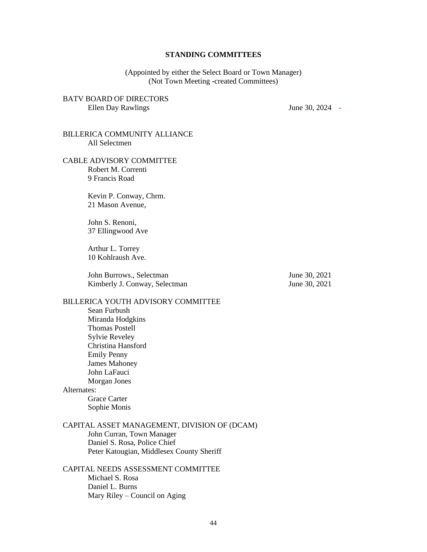#### **STANDING COMMITTEES**

(Appointed by either the Select Board or Town Manager) (Not Town Meeting -created Committees)

## BATV BOARD OF DIRECTORS Ellen Day Rawlings June 30, 2024 -

## BILLERICA COMMUNITY ALLIANCE All Selectmen

#### CABLE ADVISORY COMMITTEE Robert M. Correnti 9 Francis Road

Kevin P. Conway, Chrm. 21 Mason Avenue,

John S. Renoni, 37 Ellingwood Ave

Arthur L. Torrey 10 Kohlraush Ave.

John Burrows., Selectman June 30, 2021 Kimberly J. Conway, Selectman June 30, 2021

#### BILLERICA YOUTH ADVISORY COMMITTEE

Sean Furbush Miranda Hodgkins Thomas Postell Sylvie Reveley Christina Hansford Emily Penny James Mahoney John LaFauci Morgan Jones Alternates:

Grace Carter Sophie Monis

# CAPITAL ASSET MANAGEMENT, DIVISION OF (DCAM)

John Curran, Town Manager Daniel S. Rosa, Police Chief Peter Katougian, Middlesex County Sheriff

# CAPITAL NEEDS ASSESSMENT COMMITTEE Michael S. Rosa Daniel L. Burns Mary Riley – Council on Aging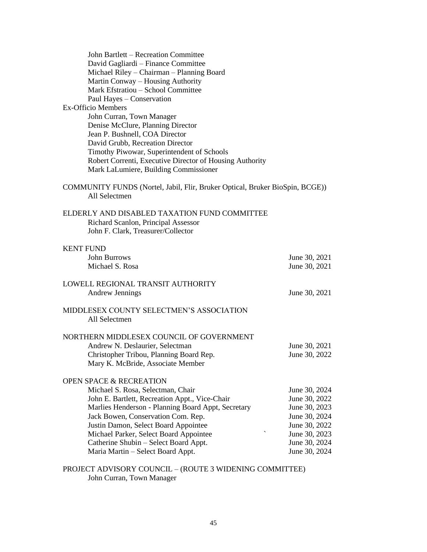| John Bartlett - Recreation Committee                                                          |               |
|-----------------------------------------------------------------------------------------------|---------------|
| David Gagliardi – Finance Committee                                                           |               |
| Michael Riley - Chairman - Planning Board                                                     |               |
| Martin Conway – Housing Authority                                                             |               |
| Mark Efstratiou - School Committee                                                            |               |
| Paul Hayes - Conservation                                                                     |               |
| <b>Ex-Officio Members</b>                                                                     |               |
| John Curran, Town Manager                                                                     |               |
| Denise McClure, Planning Director                                                             |               |
| Jean P. Bushnell, COA Director                                                                |               |
| David Grubb, Recreation Director                                                              |               |
| Timothy Piwowar, Superintendent of Schools                                                    |               |
| Robert Correnti, Executive Director of Housing Authority                                      |               |
| Mark LaLumiere, Building Commissioner                                                         |               |
|                                                                                               |               |
| COMMUNITY FUNDS (Nortel, Jabil, Flir, Bruker Optical, Bruker BioSpin, BCGE))<br>All Selectmen |               |
| ELDERLY AND DISABLED TAXATION FUND COMMITTEE                                                  |               |
|                                                                                               |               |
| Richard Scanlon, Principal Assessor                                                           |               |
| John F. Clark, Treasurer/Collector                                                            |               |
| <b>KENT FUND</b>                                                                              |               |
| <b>John Burrows</b>                                                                           | June 30, 2021 |
| Michael S. Rosa                                                                               | June 30, 2021 |
|                                                                                               |               |
| LOWELL REGIONAL TRANSIT AUTHORITY                                                             |               |
| <b>Andrew Jennings</b>                                                                        | June 30, 2021 |
|                                                                                               |               |
| MIDDLESEX COUNTY SELECTMEN'S ASSOCIATION                                                      |               |
| All Selectmen                                                                                 |               |
|                                                                                               |               |
| NORTHERN MIDDLESEX COUNCIL OF GOVERNMENT                                                      |               |
| Andrew N. Deslaurier, Selectman                                                               | June 30, 2021 |
| Christopher Tribou, Planning Board Rep.                                                       | June 30, 2022 |
| Mary K. McBride, Associate Member                                                             |               |
|                                                                                               |               |
| <b>OPEN SPACE &amp; RECREATION</b>                                                            |               |
| Michael S. Rosa, Selectman, Chair                                                             | June 30, 2024 |
| John E. Bartlett, Recreation Appt., Vice-Chair                                                | June 30, 2022 |
| Marlies Henderson - Planning Board Appt, Secretary                                            | June 30, 2023 |
| Jack Bowen, Conservation Com. Rep.                                                            | June 30, 2024 |
| Justin Damon, Select Board Appointee                                                          | June 30, 2022 |
| Michael Parker, Select Board Appointee                                                        | June 30, 2023 |
| Catherine Shubin - Select Board Appt.                                                         | June 30, 2024 |
| Maria Martin - Select Board Appt.                                                             | June 30, 2024 |
|                                                                                               |               |

PROJECT ADVISORY COUNCIL – (ROUTE 3 WIDENING COMMITTEE) John Curran, Town Manager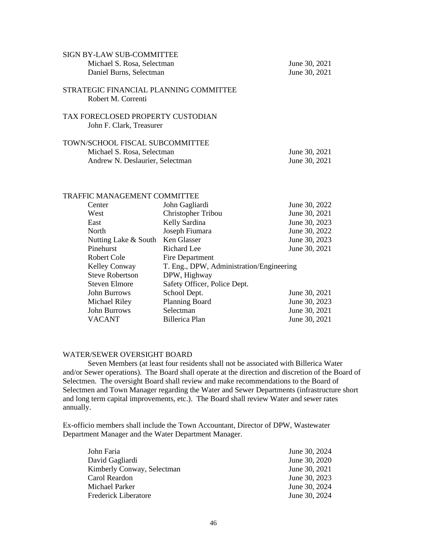| SIGN BY-LAW SUB-COMMITTEE                                     |               |
|---------------------------------------------------------------|---------------|
| Michael S. Rosa, Selectman                                    | June 30, 2021 |
| Daniel Burns, Selectman                                       | June 30, 2021 |
| STRATEGIC FINANCIAL PLANNING COMMITTEE<br>Robert M. Correnti  |               |
| TAX FORECLOSED PROPERTY CUSTODIAN<br>John F. Clark, Treasurer |               |
| <b>TOWN/SCHOOL FISCAL SUBCOMMITTEE</b>                        |               |
| Michael S. Rosa, Selectman                                    | June 30, 2021 |
| Andrew N. Deslaurier, Selectman                               | June 30, 2021 |
|                                                               |               |

# TRAFFIC MANAGEMENT COMMITTEE

| Center                 | John Gagliardi                           | June 30, 2022 |
|------------------------|------------------------------------------|---------------|
| West                   | Christopher Tribou                       | June 30, 2021 |
| East                   | Kelly Sardina                            | June 30, 2023 |
| North                  | Joseph Fiumara                           | June 30, 2022 |
| Nutting Lake & South   | Ken Glasser                              | June 30, 2023 |
| Pinehurst              | Richard Lee                              | June 30, 2021 |
| Robert Cole            | Fire Department                          |               |
|                        | T. Eng., DPW, Administration/Engineering |               |
| <b>Kelley Conway</b>   |                                          |               |
| <b>Steve Robertson</b> | DPW, Highway                             |               |
| <b>Steven Elmore</b>   | Safety Officer, Police Dept.             |               |
| <b>John Burrows</b>    | School Dept.                             | June 30, 2021 |
| Michael Riley          | <b>Planning Board</b>                    | June 30, 2023 |
| <b>John Burrows</b>    | Selectman                                | June 30, 2021 |

#### WATER/SEWER OVERSIGHT BOARD

Seven Members (at least four residents shall not be associated with Billerica Water and/or Sewer operations). The Board shall operate at the direction and discretion of the Board of Selectmen. The oversight Board shall review and make recommendations to the Board of Selectmen and Town Manager regarding the Water and Sewer Departments (infrastructure short and long term capital improvements, etc.). The Board shall review Water and sewer rates annually.

Ex-officio members shall include the Town Accountant, Director of DPW, Wastewater Department Manager and the Water Department Manager.

| John Faria                  | June 30, 2024 |
|-----------------------------|---------------|
| David Gagliardi             | June 30, 2020 |
| Kimberly Conway, Selectman  | June 30, 2021 |
| Carol Reardon               | June 30, 2023 |
| Michael Parker              | June 30, 2024 |
| <b>Frederick Liberatore</b> | June 30, 2024 |